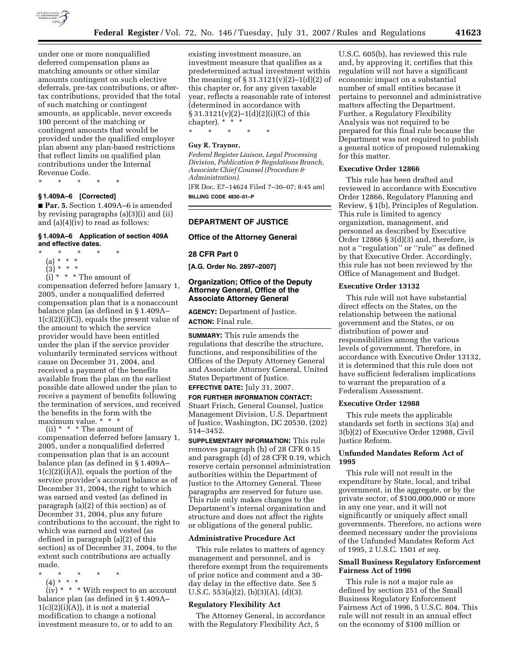

under one or more nonqualified deferred compensation plans as matching amounts or other similar amounts contingent on such elective deferrals, pre-tax contributions, or aftertax contributions, provided that the total of such matching or contingent amounts, as applicable, never exceeds 100 percent of the matching or contingent amounts that would be provided under the qualified employer plan absent any plan-based restrictions that reflect limits on qualified plan contributions under the Internal Revenue Code.

\* \* \* \* \*

# **§ 1.409A–6 [Corrected]**

■ Par. 5. Section 1.409A–6 is amended by revising paragraphs (a)(3)(i) and (ii) and (a)(4)(iv) to read as follows:

# **§ 1.409A–6 Application of section 409A and effective dates.**

- \* \* \* \* \*
	- (a) \* \* \*
	- $(3) * * * *$

 $(i) * * * The amount of$ 

compensation deferred before January 1, 2005, under a nonqualified deferred compensation plan that is a nonaccount balance plan (as defined in § 1.409A–  $1(c)(2)(i)(C)$ , equals the present value of the amount to which the service provider would have been entitled under the plan if the service provider voluntarily terminated services without cause on December 31, 2004, and received a payment of the benefits available from the plan on the earliest possible date allowed under the plan to receive a payment of benefits following the termination of services, and received the benefits in the form with the maximum value. \* \* \*

(ii)  $* * * The amount of$ compensation deferred before January 1, 2005, under a nonqualified deferred compensation plan that is an account balance plan (as defined in § 1.409A–  $1(c)(2)(i)(A)$ , equals the portion of the service provider's account balance as of December 31, 2004, the right to which was earned and vested (as defined in paragraph (a)(2) of this section) as of December 31, 2004, plus any future contributions to the account, the right to which was earned and vested (as defined in paragraph (a)(2) of this section) as of December 31, 2004, to the extent such contributions are actually made.

- \* \* \* \* \*
	- (4) \* \* \*

 $(iv) * * * With respect to an account$ balance plan (as defined in § 1.409A–  $1(c)(2)(i)(A))$ , it is not a material modification to change a notional investment measure to, or to add to an

existing investment measure, an investment measure that qualifies as a predetermined actual investment within the meaning of  $\S 31.3121(v)(2)-1(d)(2)$  of this chapter or, for any given taxable year, reflects a reasonable rate of interest (determined in accordance with  $\S 31.3121(v)(2)-1(d)(2)(i)(C)$  of this chapter).  $*$   $*$ 

\* \* \* \* \*

# **Guy R. Traynor,**

*Federal Register Liaison, Legal Processing Division, Publication & Regulations Branch, Associate Chief Counsel (Procedure & Administration).* 

[FR Doc. E7–14624 Filed 7–30–07; 8:45 am] **BILLING CODE 4830–01–P** 

## **DEPARTMENT OF JUSTICE**

## **Office of the Attorney General**

## **28 CFR Part 0**

**[A.G. Order No. 2897–2007]** 

# **Organization; Office of the Deputy Attorney General, Office of the Associate Attorney General**

**AGENCY:** Department of Justice. **ACTION:** Final rule.

**SUMMARY:** This rule amends the regulations that describe the structure, functions, and responsibilities of the Offices of the Deputy Attorney General and Associate Attorney General, United States Department of Justice.

**EFFECTIVE DATE:** July 31, 2007. **FOR FURTHER INFORMATION CONTACT:**  Stuart Frisch, General Counsel, Justice Management Division, U.S. Department of Justice, Washington, DC 20530, (202) 514–3452.

**SUPPLEMENTARY INFORMATION:** This rule removes paragraph (h) of 28 CFR 0.15 and paragraph (d) of 28 CFR 0.19, which reserve certain personnel administration authorities within the Department of Justice to the Attorney General. These paragraphs are reserved for future use. This rule only makes changes to the Department's internal organization and structure and does not affect the rights or obligations of the general public.

#### **Administrative Procedure Act**

This rule relates to matters of agency management and personnel, and is therefore exempt from the requirements of prior notice and comment and a 30 day delay in the effective date. See 5 U.S.C. 553(a)(2), (b)(3)(A), (d)(3).

## **Regulatory Flexibility Act**

The Attorney General, in accordance with the Regulatory Flexibility Act, 5

U.S.C. 605(b), has reviewed this rule and, by approving it, certifies that this regulation will not have a significant economic impact on a substantial number of small entities because it pertains to personnel and administrative matters affecting the Department. Further, a Regulatory Flexibility Analysis was not required to be prepared for this final rule because the Department was not required to publish a general notice of proposed rulemaking for this matter.

## **Executive Order 12866**

This rule has been drafted and reviewed in accordance with Executive Order 12866, Regulatory Planning and Review, § 1(b), Principles of Regulation. This rule is limited to agency organization, management, and personnel as described by Executive Order 12866 § 3(d)(3) and, therefore, is not a ''regulation'' or ''rule'' as defined by that Executive Order. Accordingly, this rule has not been reviewed by the Office of Management and Budget.

#### **Executive Order 13132**

This rule will not have substantial direct effects on the States, on the relationship between the national government and the States, or on distribution of power and responsibilities among the various levels of government. Therefore, in accordance with Executive Order 13132, it is determined that this rule does not have sufficient federalism implications to warrant the preparation of a Federalism Assessment.

## **Executive Order 12988**

This rule meets the applicable standards set forth in sections 3(a) and 3(b)(2) of Executive Order 12988, Civil Justice Reform.

# **Unfunded Mandates Reform Act of 1995**

This rule will not result in the expenditure by State, local, and tribal government, in the aggregate, or by the private sector, of \$100,000,000 or more in any one year, and it will not significantly or uniquely affect small governments. Therefore, no actions were deemed necessary under the provisions of the Unfunded Mandates Reform Act of 1995, 2 U.S.C. 1501 *et seq.* 

## **Small Business Regulatory Enforcement Fairness Act of 1996**

This rule is not a major rule as defined by section 251 of the Small Business Regulatory Enforcement Fairness Act of 1996, 5 U.S.C. 804. This rule will not result in an annual effect on the economy of \$100 million or